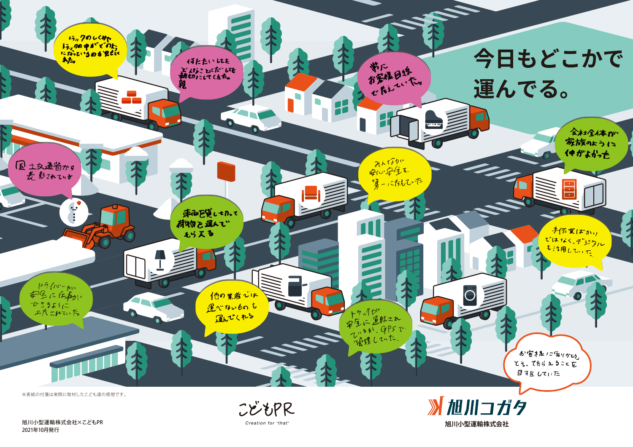2021年10月発行

Creation for "that"





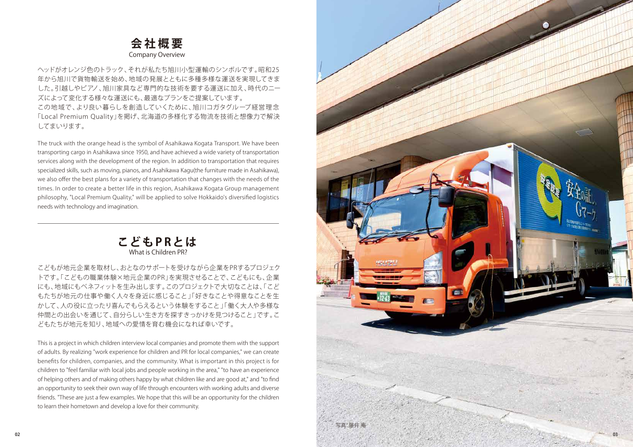## **会社概要**

ヘッドがオレンジ色のトラック、それが私たち旭川小型運輸のシンボルです。昭和25 年から旭川で貨物輸送を始め、地域の発展とともに多種多様な運送を実現してきま した。引越しやピアノ、旭川家具など専門的な技術を要する運送に加え、時代のニー ズによって変化する様々な運送にも、最適なプランをご提案しています。 この地域で、より良い暮らしを創造していくために、旭川コガタグループ経営理念 「Local Premium Quality」を掲げ、北海道の多様化する物流を技術と想像力で解決 してまいります。

The truck with the orange head is the symbol of Asahikawa Kogata Transport. We have been transporting cargo in Asahikawa since 1950, and have achieved a wide variety of transportation services along with the development of the region. In addition to transportation that requires specialized skills, such as moving, pianos, and Asahikawa Kagu(the furniture made in Asahikawa), we also offer the best plans for a variety of transportation that changes with the needs of the times. In order to create a better life in this region, Asahikawa Kogata Group management philosophy, "Local Premium Quality," will be applied to solve Hokkaido's diversified logistics needs with technology and imagination.

こどもが地元企業を取材し、おとなのサポートを受けながら企業をPRするプロジェク トです。「こどもの職業体験×地元企業のPR」を実現させることで、こどもにも、企業 にも、地域にもベネフィットを生み出します。このプロジェクトで大切なことは、「こど もたちが地元の仕事や働く人々を身近に感じること」「好きなことや得意なことを生 かして、人の役に立ったり喜んでもらえるという体験をすること」「働く大人や多様な 仲間との出会いを通じて、自分らしい生き方を探すきっかけを見つけること」です。こ どもたちが地元を知り、地域への愛情を育む機会になれば幸いです。

This is a project in which children interview local companies and promote them with the support of adults. By realizing "work experience for children and PR for local companies," we can create benefits for children, companies, and the community. What is important in this project is for children to "feel familiar with local jobs and people working in the area," "to have an experience of helping others and of making others happy by what children like and are good at," and "to find an opportunity to seek their own way of life through encounters with working adults and diverse friends. "These are just a few examples. We hope that this will be an opportunity for the children to learn their hometown and develop a love for their community.

Company Overview



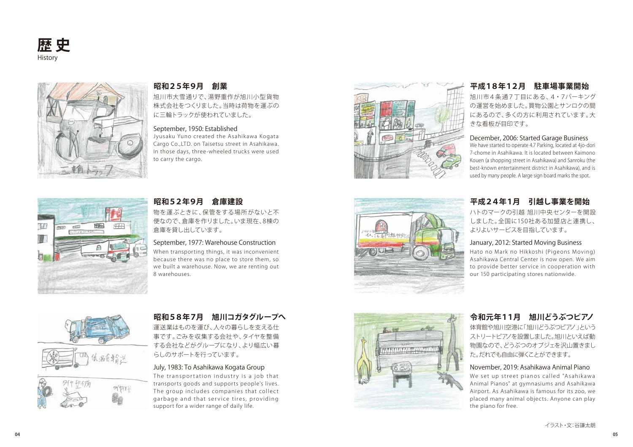旭川市大雪通りで、湯野重作が旭川小型貨物 株式会社をつくりました。当時は荷物を運ぶの に三輪トラックが使われていました。

Jyusaku Yuno created the Asahikawa Kogata Cargo Co.,LTD. on Taisetsu street in Asahikawa. In those days, three-wheeled trucks were used to carry the cargo.





### **昭和25年9月 創業**

物を運ぶときに、保管をする場所がないと不 便なので、倉庫を作りました。いま現在、8棟の 倉庫を貸し出しています。

運送業はものを運び、人々の暮らしを支える仕 事です。ごみを収集する会社や、タイヤを整備 する会社などがグループになり、より幅広い暮 らしのサポートを行っています。

When transporting things, it was inconvenient because there was no place to store them, so we built a warehouse. Now, we are renting out 8 warehouses.



### **昭和52年9月 倉庫建設**

### **昭和58年7月 旭川コガタグループへ**

体育館や旭川空港に「旭川どうぶつピアノ」という ストリートピアノを設置しました。旭川といえば動 物園なので、どうぶつのオブジェを沢山置きまし た。だれでも自由に弾くことができます。

### **令和元年11月 旭川どうぶつピアノ**

旭川市4条 通7丁目にある、4・7パーキング の運営を始めました。買物公園とサンロクの間 にあるので、多くの方に利用されています。大 きな看板が目印です。





We have started to operate 4.7 Parking, located at 4jo-dori 7-chome in Asahikawa. It is located between Kaimono Kouen (a shopping street in Asahikawa) and Sanroku (the best-known entertainment district in Asahikawa), and is used by many people. A large sign board marks the spot.

### **平成18年12月 駐車場事業開始**

ハトのマークの引越 旭川中央センターを開設 しました。全国に150社ある加盟店と連携し、 よりよいサービスを目指しています。

Hato no Mark no Hikkoshi (Pigeons Moving) Asahikawa Central Center is now open. We aim to provide better service in cooperation with our 150 participating stores nationwide.

### **平成24年1月 引越し事業を開始**

### September, 1950: Established

### September, 1977: Warehouse Construction

### December, 2006: Started Garage Business

### January, 2012: Started Moving Business

The transportation industry is a job that transports goods and supports people's lives. The group includes companies that collect garbage and that service tires, providing support for a wider range of daily life.





We set up street pianos called "Asahikawa Animal Pianos" at gymnasiums and Asahikawa Airport. As Asahikawa is famous for its zoo, we placed many animal objects. Anyone can play the piano for free.

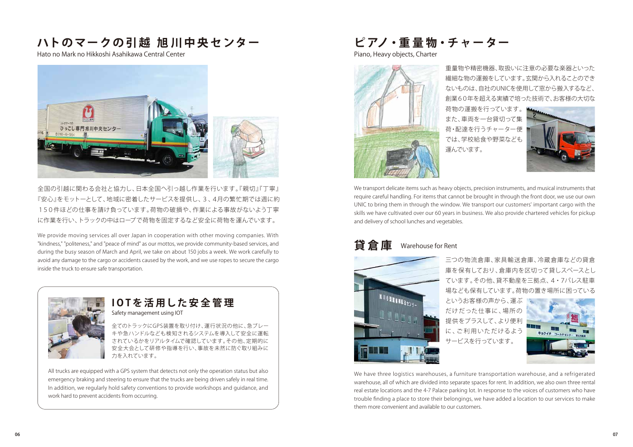全国の引越に関わる会社と協力し、日本全国へ引っ越し作業を行います。『親切』『丁寧』 『安心』をモットーとして、地域に密着したサービスを提供し、3、4月の繁忙期では週に約 150件ほどの仕事を請け負っています。荷物の破損や、作業による事故がないよう丁寧 に作業を行い、トラックの中はロープで荷物を固定するなど安全に荷物を運んでいます。

We provide moving services all over Japan in cooperation with other moving companies. With "kindness," "politeness," and "peace of mind" as our mottos, we provide community-based services, and during the busy season of March and April, we take on about 150 jobs a week. We work carefully to avoid any damage to the cargo or accidents caused by the work, and we use ropes to secure the cargo inside the truck to ensure safe transportation.



All trucks are equipped with a GPS system that detects not only the operation status but also emergency braking and steering to ensure that the trucks are being driven safely in real time. In addition, we regularly hold safety conventions to provide workshops and guidance, and work hard to prevent accidents from occurring.

# **IOTを活用した安全管理**

We transport delicate items such as heavy objects, precision instruments, and musical instruments that require careful handling. For items that cannot be brought in through the front door, we use our own UNIC to bring them in through the window. We transport our customers' important cargo with the skills we have cultivated over our 60 years in business. We also provide chartered vehicles for pickup and delivery of school lunches and vegetables.

> 三つの物流倉庫、家具輸送倉庫、冷蔵倉庫などの貸倉 庫を保有しており、倉庫内を区切って貸しスペースとし ています。その他、貸不動産を三拠点、4・7パレス駐車 場なども保有しています。荷物の置き場所に困っている

というお客様の声から、運ぶ だけだった仕事に、場所の 提供をプラスして、より便利 に、ご利用いただけるよう サービスを行っています。



We have three logistics warehouses, a furniture transportation warehouse, and a refrigerated warehouse, all of which are divided into separate spaces for rent. In addition, we also own three rental real estate locations and the 4-7 Palace parking lot. In response to the voices of customers who have trouble finding a place to store their belongings, we have added a location to our services to make them more convenient and available to our customers.

全てのトラックにGPS装置を取り付け、運行状況の他に、急ブレー キや急ハンドルなども検知されるシステムを導入して安全に運転 されているかをリアルタイムで確認しています。その他、定期的に 安全大会として研修や指導を行い、事故を未然に防ぐ取り組みに 力を入れています。

### **貸倉庫** Warehouse for Rent



# **ハトのマークの引越 旭川中央センター**

Hato no Mark no Hikkoshi Asahikawa Central Center



Safety management using IOT

**ピ アノ・重 量 物・チ ャ ー ター**

Piano, Heavy objects, Charter



重量物や精密機器、取扱いに注意の必要な楽器といった 繊細な物の運搬をしています。玄関から入れることのでき ないものは、自社のUNICを使用して窓から搬入するなど、 創業60年を超える実績で培った技術で、お客様の大切な

荷物の運搬を行っています。 また、車両を一台貸切って集 荷・配達を行うチャーター便 では、学校給食や野菜なども



運んでいます。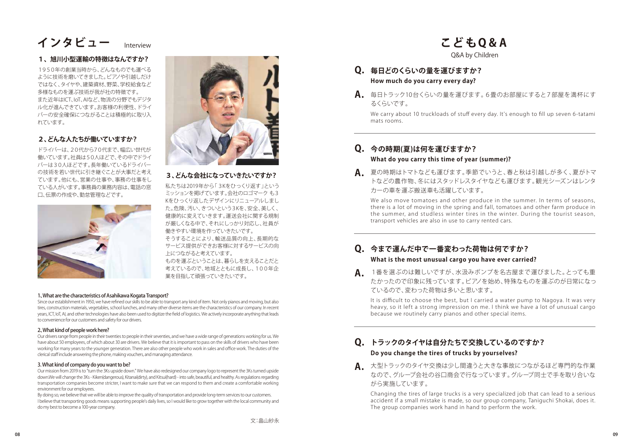### 1、What are the characteristics of Asahikawa Kogata Transport?

Since our establishment in 1950, we have refined our skills to be able to transport any kind of item. Not only pianos and moving, but also tires, construction materials, vegetables, school lunches, and many other diverse items are the characteristics of our company. In recent years, ICT, IoT, AI, and other technologies have also been used to digitize the field of logistics. We actively incorporate anything that leads to convenience for our customers and safety for our drivers.

### 2、What kind of people work here?

Our drivers range from people in their twenties to people in their seventies, and we have a wide range of generations working for us. We have about 50 employees, of which about 30 are drivers. We believe that it is important to pass on the skills of drivers who have been working for many years to the younger generation. There are also other people who work in sales and office work. The duties of the clerical staff include answering the phone, making vouchers, and managing attendance.

### 3. What kind of company do you want to be?

Our mission from 2019 is to "turn the 3Ks upside down." We have also redesigned our company logo to represent the 3Ks turned upside down.We will change the 3Ks - Kiken(dangerous), Kitanai(dirty), and Kitsui(hard) - into safe, beautiful, and healthy. As regulations regarding transportation companies become stricter, I want to make sure that we can respond to them and create a comfortable working environment for our employees.

We also move tomatoes and other produce in the summer. In terms of seasons, there is a lot of moving in the spring and fall, tomatoes and other farm produce in the summer, and studless winter tires in the winter. During the tourist season, transport vehicles are also in use to carry rented cars.

By doing so, we believe that we will be able to improve the quality of transportation and provide long-term services to our customers. I believe that transporting goods means supporting people's daily lives, so I would like to grow together with the local community and do my best to become a 100-year company.

### **1、 旭川小型運輸の特徴はなんですか?**

1950年の創業当時から、どんなものでも運べる ように技術を磨いてきました。ピアノや引越しだけ ではなく、タイヤや、建築資材、野菜、学校給食など 多様なものを運ぶ技術が我が社の特徴です。 また近年はICT、IoT、AIなど、物流の分野でもデジタ ル化が進んできています。お客様の利便性、ドライ バーの安全確保につながることは積極的に取り入 れています。

### **2、どんな人たちが働いていますか?**

ドライバーは、20代から70代まで、幅広い世代が 働いています。社員は50人ほどで、その中でドライ バーは30人ほどです。長年働いているドライバー の技術を若い世代に引き継ぐことが大事だと考え ています。他にも、営業の仕事や、事務の仕事をし ている人がいます。事務員の業務内容は、電話の窓 口、伝票の作成や、勤怠管理などです。





**3、どんな会社になっていきたいですか?**

私たちは2019年から「3Kをひっくり返す」という ミッションを掲げています。会社のロゴマークも3 Kをひっくり返したデザインにリニューアルしまし た。危険、汚い、きついという3Kを、安全、美しく、 健康的に変えていきます。運送会社に関する規制 が厳しくなる中で、それにしっかり対応し、社員が 働きやすい環境を作っていきたいです。 そうすることにより、輸送品質の向上、長期的な サービス提供ができお客様に対するサービスの向 上につながると考えています。 ものを運ぶということは、暮らしを支えることだと 考えているので、地域とともに成長し、100年企 業を目指して頑張っていきたいです。

- **How much do you carry every day? Q. 毎日どのくらいの量を運びますか?**
- 毎日トラック10台くらいの量を運びます。6畳のお部屋にすると7部屋を満杯にす **A.** るくらいです。

We carry about 10 truckloads of stuff every day. It's enough to fill up seven 6-tatami mats rooms.

### **What do you carry this time of year (summer)? Q. 今の時期(夏)は何を運びますか?**

夏の時期はトマトなども運びます。季節でいうと、春と秋は引越しが多く、夏がトマ **A.** カーの車を運ぶ搬送車も活躍しています。

トなどの農作物、冬にはスタッドレスタイヤなども運びます。観光シーズンはレンタ

### **What is the most unusual cargo you have ever carried? Q. 今まで運んだ中で一番変わった荷物は何ですか?**

It is difficult to choose the best, but I carried a water pump to Nagoya. It was very heavy, so it left a strong impression on me. I think we have a lot of unusual cargo because we routinely carry pianos and other special items.

1番を選ぶのは難しいですが、水汲みポンプを名古屋まで運びました。とっても重 **A.** ているので、変わった荷物は多いと思います。

たかったので印象に残っています。ピアノを始め、特殊なものを運ぶのが日常になっ

### **Do you change the tires of trucks by yourselves? Q. トラックのタイヤは自分たちで交換しているのですか?**

Changing the tires of large trucks is a very specialized job that can lead to a serious accident if a small mistake is made, so our group company, Taniguchi Shokai, does it. The group companies work hand in hand to perform the work.

大型トラックのタイヤ交換は少し間違うと大きな事故につながるほど専門的な作業 **A.** がら実施しています。

なので、グループ会社の谷口商会で行なっています。グループ同士で手を取り合いな

# インタビュー Interview **- And Apple The Contract of Apple To A**A

Interview

# Q&A by Children